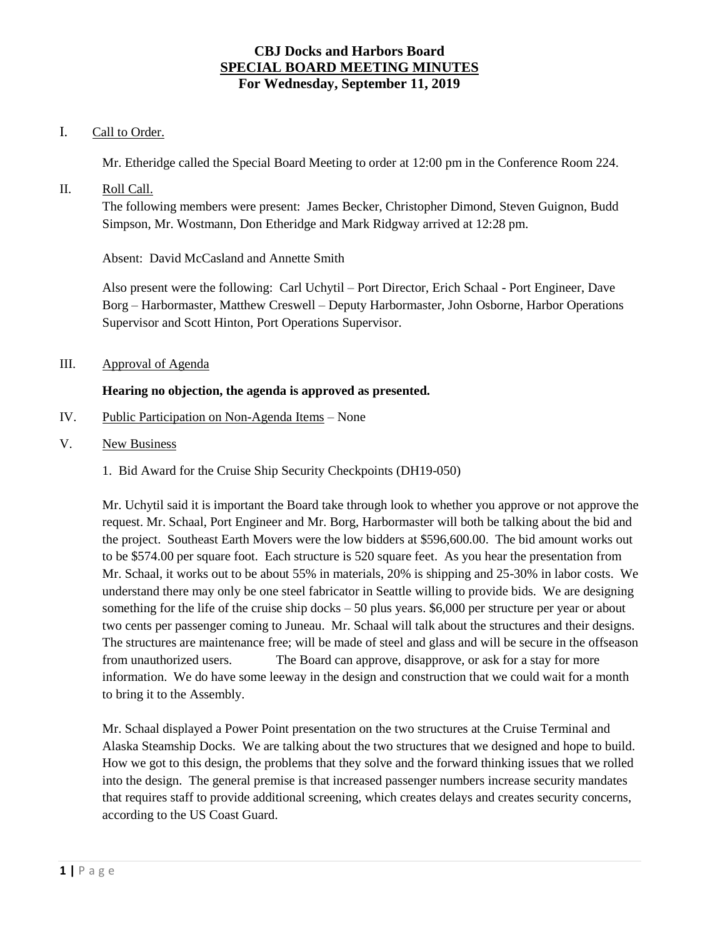# I. Call to Order.

Mr. Etheridge called the Special Board Meeting to order at 12:00 pm in the Conference Room 224.

II. Roll Call.

The following members were present: James Becker, Christopher Dimond, Steven Guignon, Budd Simpson, Mr. Wostmann, Don Etheridge and Mark Ridgway arrived at 12:28 pm.

Absent: David McCasland and Annette Smith

Also present were the following: Carl Uchytil – Port Director, Erich Schaal - Port Engineer, Dave Borg – Harbormaster, Matthew Creswell – Deputy Harbormaster, John Osborne, Harbor Operations Supervisor and Scott Hinton, Port Operations Supervisor.

III. Approval of Agenda

# **Hearing no objection, the agenda is approved as presented.**

- IV. Public Participation on Non-Agenda Items None
- V. New Business
	- 1. Bid Award for the Cruise Ship Security Checkpoints (DH19-050)

Mr. Uchytil said it is important the Board take through look to whether you approve or not approve the request. Mr. Schaal, Port Engineer and Mr. Borg, Harbormaster will both be talking about the bid and the project. Southeast Earth Movers were the low bidders at \$596,600.00. The bid amount works out to be \$574.00 per square foot. Each structure is 520 square feet. As you hear the presentation from Mr. Schaal, it works out to be about 55% in materials, 20% is shipping and 25-30% in labor costs. We understand there may only be one steel fabricator in Seattle willing to provide bids. We are designing something for the life of the cruise ship docks  $-50$  plus years. \$6,000 per structure per year or about two cents per passenger coming to Juneau. Mr. Schaal will talk about the structures and their designs. The structures are maintenance free; will be made of steel and glass and will be secure in the offseason from unauthorized users. The Board can approve, disapprove, or ask for a stay for more information. We do have some leeway in the design and construction that we could wait for a month to bring it to the Assembly.

Mr. Schaal displayed a Power Point presentation on the two structures at the Cruise Terminal and Alaska Steamship Docks. We are talking about the two structures that we designed and hope to build. How we got to this design, the problems that they solve and the forward thinking issues that we rolled into the design. The general premise is that increased passenger numbers increase security mandates that requires staff to provide additional screening, which creates delays and creates security concerns, according to the US Coast Guard.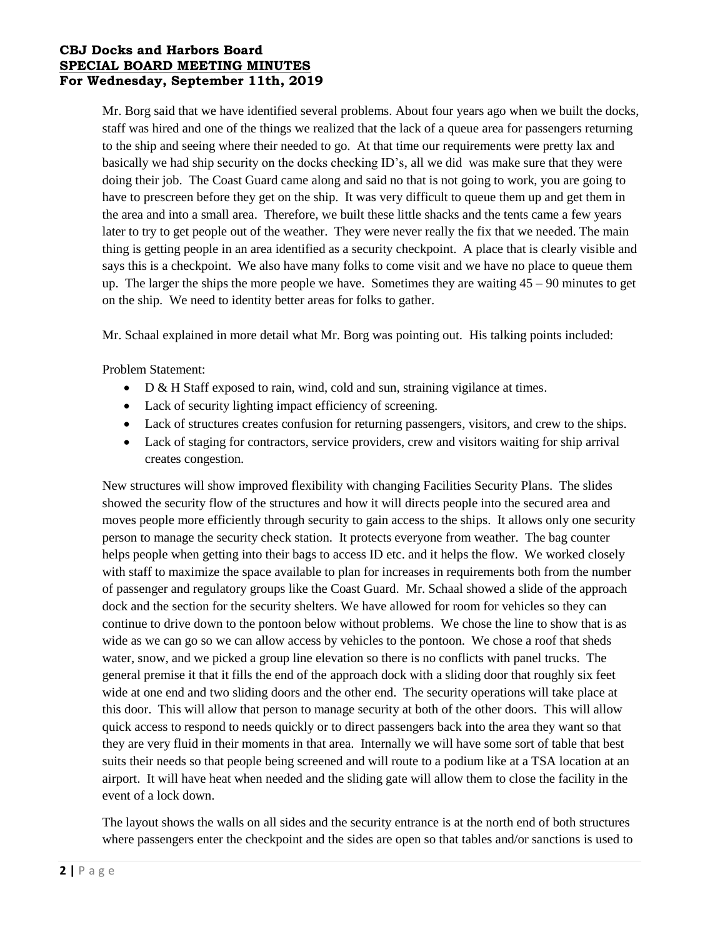Mr. Borg said that we have identified several problems. About four years ago when we built the docks, staff was hired and one of the things we realized that the lack of a queue area for passengers returning to the ship and seeing where their needed to go. At that time our requirements were pretty lax and basically we had ship security on the docks checking ID's, all we did was make sure that they were doing their job. The Coast Guard came along and said no that is not going to work, you are going to have to prescreen before they get on the ship. It was very difficult to queue them up and get them in the area and into a small area. Therefore, we built these little shacks and the tents came a few years later to try to get people out of the weather. They were never really the fix that we needed. The main thing is getting people in an area identified as a security checkpoint. A place that is clearly visible and says this is a checkpoint. We also have many folks to come visit and we have no place to queue them up. The larger the ships the more people we have. Sometimes they are waiting 45 – 90 minutes to get on the ship. We need to identity better areas for folks to gather.

Mr. Schaal explained in more detail what Mr. Borg was pointing out. His talking points included:

Problem Statement:

- D & H Staff exposed to rain, wind, cold and sun, straining vigilance at times.
- Lack of security lighting impact efficiency of screening.
- Lack of structures creates confusion for returning passengers, visitors, and crew to the ships.
- Lack of staging for contractors, service providers, crew and visitors waiting for ship arrival creates congestion.

New structures will show improved flexibility with changing Facilities Security Plans. The slides showed the security flow of the structures and how it will directs people into the secured area and moves people more efficiently through security to gain access to the ships. It allows only one security person to manage the security check station. It protects everyone from weather. The bag counter helps people when getting into their bags to access ID etc. and it helps the flow. We worked closely with staff to maximize the space available to plan for increases in requirements both from the number of passenger and regulatory groups like the Coast Guard. Mr. Schaal showed a slide of the approach dock and the section for the security shelters. We have allowed for room for vehicles so they can continue to drive down to the pontoon below without problems. We chose the line to show that is as wide as we can go so we can allow access by vehicles to the pontoon. We chose a roof that sheds water, snow, and we picked a group line elevation so there is no conflicts with panel trucks. The general premise it that it fills the end of the approach dock with a sliding door that roughly six feet wide at one end and two sliding doors and the other end. The security operations will take place at this door. This will allow that person to manage security at both of the other doors. This will allow quick access to respond to needs quickly or to direct passengers back into the area they want so that they are very fluid in their moments in that area. Internally we will have some sort of table that best suits their needs so that people being screened and will route to a podium like at a TSA location at an airport. It will have heat when needed and the sliding gate will allow them to close the facility in the event of a lock down.

The layout shows the walls on all sides and the security entrance is at the north end of both structures where passengers enter the checkpoint and the sides are open so that tables and/or sanctions is used to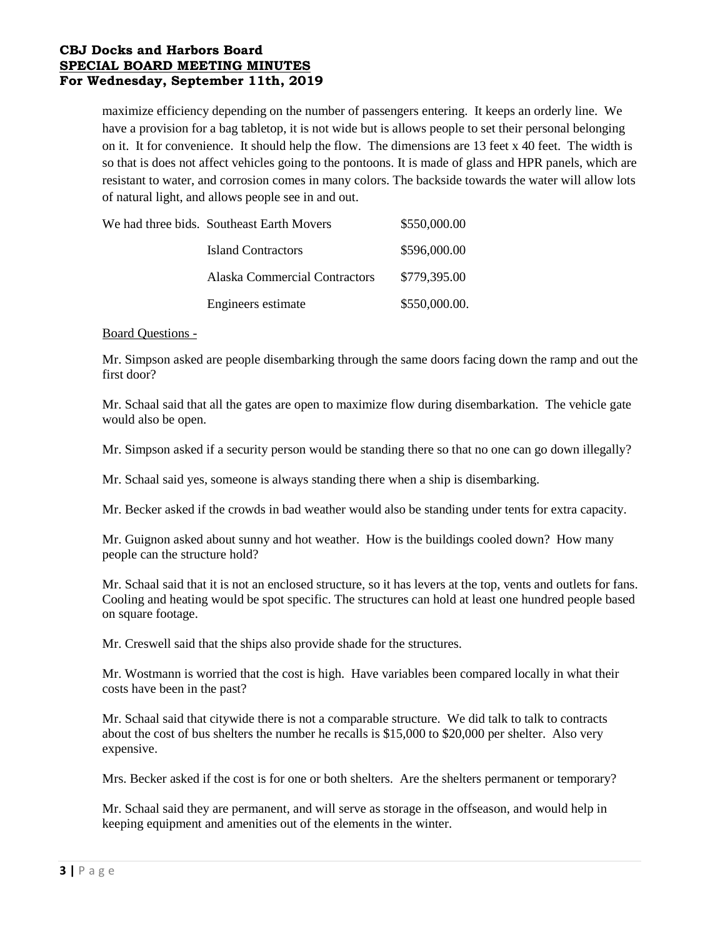maximize efficiency depending on the number of passengers entering. It keeps an orderly line. We have a provision for a bag tabletop, it is not wide but is allows people to set their personal belonging on it. It for convenience. It should help the flow. The dimensions are 13 feet x 40 feet. The width is so that is does not affect vehicles going to the pontoons. It is made of glass and HPR panels, which are resistant to water, and corrosion comes in many colors. The backside towards the water will allow lots of natural light, and allows people see in and out.

| We had three bids. Southeast Earth Movers | \$550,000.00  |
|-------------------------------------------|---------------|
| Island Contractors                        | \$596,000.00  |
| Alaska Commercial Contractors             | \$779,395.00  |
| Engineers estimate                        | \$550,000.00. |

#### Board Questions -

Mr. Simpson asked are people disembarking through the same doors facing down the ramp and out the first door?

Mr. Schaal said that all the gates are open to maximize flow during disembarkation. The vehicle gate would also be open.

Mr. Simpson asked if a security person would be standing there so that no one can go down illegally?

Mr. Schaal said yes, someone is always standing there when a ship is disembarking.

Mr. Becker asked if the crowds in bad weather would also be standing under tents for extra capacity.

Mr. Guignon asked about sunny and hot weather. How is the buildings cooled down? How many people can the structure hold?

Mr. Schaal said that it is not an enclosed structure, so it has levers at the top, vents and outlets for fans. Cooling and heating would be spot specific. The structures can hold at least one hundred people based on square footage.

Mr. Creswell said that the ships also provide shade for the structures.

Mr. Wostmann is worried that the cost is high. Have variables been compared locally in what their costs have been in the past?

Mr. Schaal said that citywide there is not a comparable structure. We did talk to talk to contracts about the cost of bus shelters the number he recalls is \$15,000 to \$20,000 per shelter. Also very expensive.

Mrs. Becker asked if the cost is for one or both shelters. Are the shelters permanent or temporary?

Mr. Schaal said they are permanent, and will serve as storage in the offseason, and would help in keeping equipment and amenities out of the elements in the winter.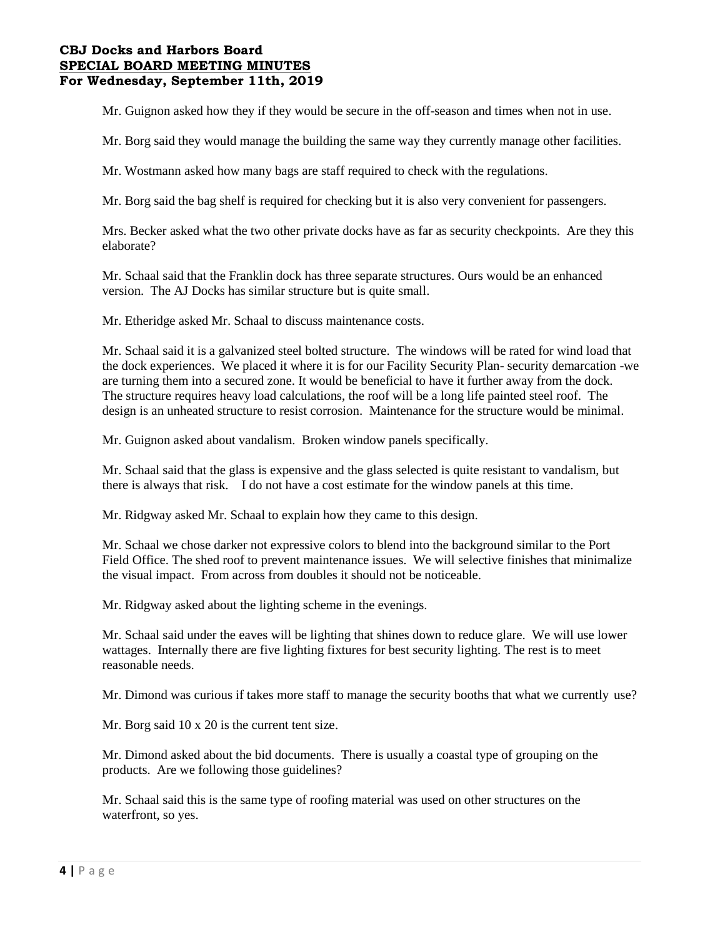Mr. Guignon asked how they if they would be secure in the off-season and times when not in use.

Mr. Borg said they would manage the building the same way they currently manage other facilities.

Mr. Wostmann asked how many bags are staff required to check with the regulations.

Mr. Borg said the bag shelf is required for checking but it is also very convenient for passengers.

Mrs. Becker asked what the two other private docks have as far as security checkpoints. Are they this elaborate?

Mr. Schaal said that the Franklin dock has three separate structures. Ours would be an enhanced version. The AJ Docks has similar structure but is quite small.

Mr. Etheridge asked Mr. Schaal to discuss maintenance costs.

Mr. Schaal said it is a galvanized steel bolted structure. The windows will be rated for wind load that the dock experiences. We placed it where it is for our Facility Security Plan- security demarcation -we are turning them into a secured zone. It would be beneficial to have it further away from the dock. The structure requires heavy load calculations, the roof will be a long life painted steel roof. The design is an unheated structure to resist corrosion. Maintenance for the structure would be minimal.

Mr. Guignon asked about vandalism. Broken window panels specifically.

Mr. Schaal said that the glass is expensive and the glass selected is quite resistant to vandalism, but there is always that risk. I do not have a cost estimate for the window panels at this time.

Mr. Ridgway asked Mr. Schaal to explain how they came to this design.

Mr. Schaal we chose darker not expressive colors to blend into the background similar to the Port Field Office. The shed roof to prevent maintenance issues. We will selective finishes that minimalize the visual impact. From across from doubles it should not be noticeable.

Mr. Ridgway asked about the lighting scheme in the evenings.

Mr. Schaal said under the eaves will be lighting that shines down to reduce glare. We will use lower wattages. Internally there are five lighting fixtures for best security lighting. The rest is to meet reasonable needs.

Mr. Dimond was curious if takes more staff to manage the security booths that what we currently use?

Mr. Borg said 10 x 20 is the current tent size.

Mr. Dimond asked about the bid documents. There is usually a coastal type of grouping on the products. Are we following those guidelines?

Mr. Schaal said this is the same type of roofing material was used on other structures on the waterfront, so yes.